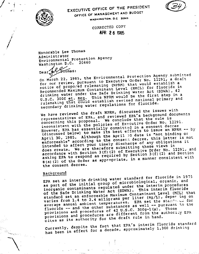



I .,

 $\leq$ 

} *i t I*

'\.

 $\overline{\phantom{0}}$ 

EXECUTIVE OFFICE OF THE PRESIDENT OFFICE OF MANAGEMENT AND BUDGET WASHINGTON, D.C. 20503

> CORRECTED COpy ArE 2 6 S3S

Honorable Lee Thomas Administrator Environmental protection Agency Washington D.C. 20460

 $\texttt{Dear}$  . The collection of  $\mathbb{R}$  is the collection of  $\mathbb{R}$  . The collection of  $\mathbb{R}$  is the collection of  $\mathbb{R}$  is the collection of  $\mathbb{R}$  is the collection of  $\mathbb{R}$  is the collection of  $\mathbb{R}$  is

On March 22, 1985, the Environmental Protection Agency Submitte for our review, pursuant to Executive Order No. 12291, a draft notice of propo~ed rulemaking (NPRM) that would establish a Recommended Maximum Contaminant Level (RMCL) for fluoride in drinking water under the Safe Drinking Water Act (SDWA), 42 U.S.C. 300f et. seq. This NPRM would be the first step in a rulemaking that could establish revised national primary and secondary drinking water regulations for fluoride.

We have reviewed the draft NPRM, discussed the issues with representatives of EPA, and reviewed EPA's background documents concerning this proposal. We conclude that the rule is inconsistent with the policies of Executive Order No. 12291. However, EPA has essentially committed in a consent decree (discussed below) to make its best efforts to issue an NPRM -- by April 30, 1985. Although the April 30 date is "not binding or enforceable" according to the consent decree, this letter is not intended to affect your timely discharge of any obligations it does create. We are therefore submitting these views in accordance with Section 3(f) (2) of Executive Order No. 12291, and asking EPA to respond as required by Section 3(f) (2) and Section  $B(a)$  (2) of the Order as appropriate, in a manner consistent with the consent decree.

## Backaround .

EPA set an interim drinking. water standard for fluoride in 1975 as part of the initial group of microbiological, organic, and inorganic contaminants regulated under the interim procedures of the Safe Drinking Water Act (SDWA). This interim fluoride standard set an enforceable Maximum Contaminant Level (MCL) that varies from 1.4 to 2.4 miligrams per liter (mg/L), deper ing on average annual ambient temperatures. EPA set the stand was for fluoride -- and the other substances as well -- pursuant to the provisions and procedures of 42 U.S.C. 300g-1(a). Those provisions and procedures are different from the authoricy EPA cites as its authority for the draft rule in hand.

Currently, despite the fact that EPA's interim fluoride standard has been in effect for a decade, approximately 1,300 drinking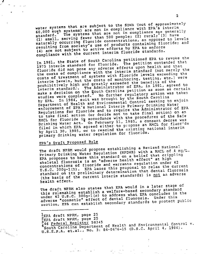water systems that are subject to the SDWA '(out of approximately water systems with the not in compliance with EPA s interimate of the second state of the second state of the second state of the second state of the second state of the second state of the second state of the second state standard. The systems that are not in compliance age generally  $(1)$  small, serving fewer than 500 people;  $(2)$  rural,  $(3)$  have naturally occurring fluoride concentrations, as opposed to levels resulting from society's use of products containing fluoride; and (4) are not subject to active efforts by EPA to enforce compliance with the current interim fluoride standards.

In 1981, the State of South Carolina petitioned EPA to revoke the 1975 interim standard for fluoride. The petition contended that fluoride did not pose any adverse effects upon health and that the costs of compliance with the interim standard (not merely the costs of treatment of systems with fluoride levels exceeding the interim levels, but the costs of monitoring, testing, etc.) were prohibitively high and greatly exceeded the benefits of the interim standard.. The Administrator of EPA, in 1981, agreed to mustim seamers.<br>--ke a decision on the South Carolina petition as soon as certain make a decreasion of the studies regulatory action was taken studies were completed. No further regulatory action we<br>by EPA. In 1984, suit was brought by the South Carolina Department of Health and Environmental Control seeking to enjoin enforcement of EPA's National Interim Primary Drinking Water Regulations for fluoride and to require the Administrator of EPA to take final action (or decide not to take final action) on an to take final accion (or research the procedures of the Safe Drinking Water Act. On February 11, 1985, a consent decree was filed in which EPA agreed either to propose an RMCL for fluoride by April 30, 1985, or to rescind the existing national interim primary drinking water regulation for fluoride.

# EPA~s Draft Proposed Rule

 $\mathbf{r}$ 

Permanent of the South Street,

The draft NPRM would propose establishing a Revised Nationa! Primary Drinking Water Regulation (NPDWR) with a RMCL of .4 mg/L. EPA proposes to base this standard on a belief that crippling skeletal fluorosis is an "adverse health effect" at high concentrations of fluoride and warrants regulation under 42 U.S.C. 300g-1(b). EPA bases this proposal to relax the current standard on its preliminary determination that dental fluorosis (the basis of the current interim standards) is not an adverse health effect.

The draft NPRM also states that EPA would in a later stage of this rulemaking establish a welfare-based secondary standard under 42 U.S.C. 300g-l(c) to address what EPA concludes is the .adverse "cosmetic" effect of dental fluorosis. Under this section, EPA can establish secondary standards to protect public

 $^{1}_{2}$ EPA draft NPRM, page 25 2EPA draft NPRM, page 25<br>346 <u>Federal Register</u> 58345 446 Federal Register 58345 South Carolina Department of Health and Environmental Control v. U.S.E.P.A. et.al., No. 3: 84-0676-15 (D.S.C. April 4, 1984).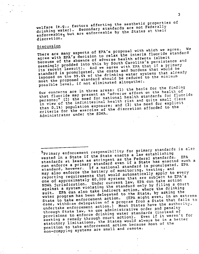welfare (e.g., factors affecting the aesthetic properties of drinking water). Secondary standards are not Federally enforceable, but are enforceable by the States at their discretion.

## Discussion

There are many aspects of EPA's proposal with which we agree. We agree with EPA~S decision to relax the interim fluoride standard because of the absence of adverse health effects (albeit seemingly prodded into this by South Carolina's persistence and its recent lawsuit). And we agree with EPA that if a primary standard is promulgated, the costs and burdens that would be imposed on the 99.6% of the drinking water systems that already meet the proposed standard should be reduced to the minimum possible level, if not eliminated altogether.

Our concerns are in three areas: (1) the basis for the finding that fluoride may present an "adverse effect on the health of persons;" (2) the need for national health standards for fluoride in view of the infinitesimal health risk and quite small (less than 0.1%) population exposure: and (3) the need for explicit criteria for the exercise of the discretion afforded to the Administrator under the SDWA.

EPA such a standards at a start mary standard even if a State has endered for 5primary enforcement responsibility for primary standards is also vested in a State if the State enacts a law establishing standards at least as stringent as the Federal standarcs. standard, however. If a national standard is promulgated, EPA may also enforce the battery of monitoring, testing, and reporting requirements that would automatically apply to every one of approximately 60,000 systems that are subject to EPA's SDWA jurisdication. Under current law, EPA can take action against a system violating the standard only by filing a court suit. EPA can also take indirect action, where the drinking water program has been delegated to the State, by asking the State to take enforcement action. (EPA might even, in an extreme case, withdraw delegation of a program from a State that fails to undertake enforcement action.) Most States have the authority, through State law, to use administrative order and penalty provisions to enforce drinking water standards (instead of seeking a remedy through court action). Even if it weren't for statutory limitations, the States would always be in a better position to take enforcement action because most of the non-compying systems are small and remote.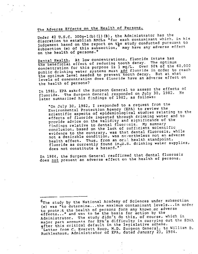# The Adverse Effects on the Health of Persons.

Under 42 U.S.C. 300g-1 (b)(1) (B), the Administrator has the discretion to establish RMCLs ~for each contaminant which, in his indgement based on the report on the study conducted pursuant to subsection *(e)* of this subsection, may have any adverse effect on the health of persons."

Dental Health. At low concentrations, fluoride intake has the beneficial effect of reducing tooth decay. The optimum concentration for this purpose is 1 mg/L. Over 90% of the 60,000 public drinking water systems must add fluoride in order to reach the optimum level needed to prevent tooth decay. But at what levels of concentration does fluoride have an adverse effect on the health of persons?

In 1981, EPA asked the Surgeon General to assess the effects of fluoride. The Surgeon General responded on July 30, 1982. later summarized his findings of 1982, as follows:

"On July 30, 1982, I responded to a request from the Environmental Protection Agency (EPA) to review the scientific aspects of epidemiological studies relating to the effects of fluoride ingested through drinking water and to provide advice on the validity and significance of the findings relative to dental fluorosis. My summary conclusion, based on the lack of sufficient scientific evidence to the contrary, was that dental fluorosis, while not a desirable condition, was nevertheless not an adverse health effect. Thus, from an oral health standpoint, fluoride as currently found in<sub>7</sub>U.S. drinking water supplies, does not constitute a hazard.~

In 1984, the Surgeon General reaffirmed that dental fluorosis does not present an adverse effect on the health of persons.

6The study by the National Acaaemy of Sciences under subsection (e) was "to determine ... the maximum contaminant levels ... in order to prote it the health of persons form any known or adverse effects ... " and was to be the basis for action by the Administrator. The study didn't do this, of course, which in major part accounts for EPA's difficulty in carrying out the SDWA after this critical default in the legislative scheme. Letter from C. Everett Koop, M.D. Surgeon General, to William D. Ruckleshaus, Administrator of EPA, dated January 23, 1984.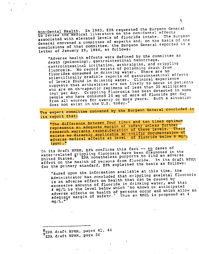Non-Dental Health. In 1983, EPA requested the Surgeon General to review the medical literature on the non-dental effects associated with elevated levels of fluoride intake. The surgeon General convened a committee of experts and, on the basis of the conclusions of that committee, the surgeon General reported in a letter of January 23, 1984, as follows:

"Adverse health effects were defined by the committee as death (poisoning), gastrointestinal hemorrhage, ,gastrointestinal irritation, arthralgias, and crippling fluorosis. No record exists of poisoning death from fluorides consumed in drinking water. There are no scientifically credible reports of gastrointestinal effects of levels found in drinking water. Clinical experience suggests that arthralgias are not likely to occur in patients who are on th~rapeutic regimens of less than 20 milligrams (mg) per day. Crippling fluorosis has been detected in some people who have consumed 20 mg of more of fluoride per day from all sources for twenty or more years. Such a situation does not exist in the U.S. today."

The expert committee convened by the Surgeon General concluded in its report that:

"The difference between four times and ten times optimum represents an adequate margin of safety unless further research warrants reconsideration of these levels. There exists no directly applicable scientific documentation of adverse medical effects at levels of fluoride below 8 mg/L  $(ppm)$ ."

In its draft NPRM, EPA confirms this fact -- no cases of water-related grippling fluorosis have been diagnosed in the water forces. 8 EPA nonetheless purports to find an adverse water-terated 8. EPA nonetheless purports to find an adverse<br>United States. EPA nonetheless purports to find an adverse<br>effect on the health of persons from fluoride. In its draft NPRM for the primary standard, EPA explained the basis as follows:

"Based upon the information available at this time, the Administrator has concluded that crippling skeletal fluorosis is an adverse effect on health that can be caused by excessive amounts of fluoride in drinking water, and that 4 mg/L is the level below which 'no known or anticipated adverse effects on health of persons occur and which allow an adequage margin of safety.' Thus an RMCL is proposed at 4  $mg/L$ ."

 $^{8}_{\Delta}$ EPA draft NPRM, pages 41, 44 EPA draft NPRM, page 56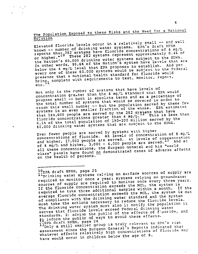The Population Exposed to these Risks and the Need for a National Solution

Elevated fluoride levels occur in a relatively small -- and well known -- number of drinking water systems. EPA's draft NPRM rnown -- nem 32 systems have fluoride concentrations of 4 mg/L reports that of These 282 systems represent approximately 0.4% of the Nation<sup>-</sup>s 60,000 drinking water systems subject to the SDWA. In other words, 99.6% of the Nation's system have levels that are below the 4 mg/L level that EPA proposes to establish. And yet everyone of these 60,000 systems would be subject to the Federal presence that a national health standard for fluoride would pres<br>Lites 11 complete with requirements to test, monitor, report, etc.

Not only is the rumber of systems that have levels of concentration greater than the 4 mg/L standard that EPA would propose small -- both in absolute terms and as a percentage of the total number of systems that would be covered in order to reach this small number -- but the population served by these few systems is an even smaller fraction of the whole. EPA estimates that 184,000 people are served by the 282 systems that have<br>fluoride concentrations greater than 4 mg/L. This is less than  $f_{\text{m}}$  fluoride concentrations greater than  $4 \text{ mJ/L}$ . This is less than 0.1% of the total population of 190-200 million served by the 60,000 drinking water systems that are subject to the SDWA.

Even fewer people are served by systems with higher concentrations of fluoride. At levels of concentration of 6 mayand higher, 17,000 people are served. At levels of copcentration of 8 mg/L and higher,  $3,000 - 4,000$  people are served. all these concentrations, the Surgeon General and his "world class" panels have found no demonstrated cases of adverse affects on the health of persons.

#### $10$ EPA draft NPRM, page 25

11-The mater systems relying on surface sources of supply are required to monitor once a year, systems relying on groundwater sources of supply are required to monitor once every three years. If the fluoride concentration exceeds the MCL, the system is required to take three additional samples within a month. If the average fluoride concentration exceeds the MCL, the system is out of compliance with the drinking water standard and the system must take the actions necessary to reduce the fluoride levels. The drinking water system must also 1) notify the population it serves that fluoride levels exceed Federal drinking water standards, 2) advise the public of the effects of fauoride, and 1) inform the public of ways to avoid these effects.<br>13EPA draft NPRM, page 26

13<sub>Only</sub> a still smaller group is truly relevant to EPA's risk assessment since the surgeon General~s Reports indicated that whatever effects relatively high concentrations of fluoride may have would occur in children below the age of 9.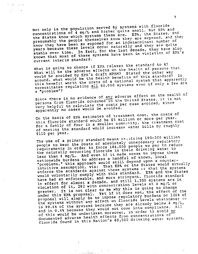Not only is the population served by systems with fluoride concentrations of 4 mg/L and higher quite small, but EPA and the States know which systems these are. EPA, the States, and presumably the people themselves know they are exposed, and they know they have been so exposed for an indeterminant number of years because these levels occur naturally and they are quite stable over time. In fact, for the last decade, they have also known that most of these systems have been in violation of EPA's current interim standard.

in Library

What is going to change if EPA relaxes the standard to 4? What will be the adverse effects on the health of persons that would be avoided by EPA's draft NPRM? Stated the other way around, what would be the health benefits of this standard? Is this benefit worth the costs of a national system that apparently necessitates regulating all 60,000 systems even if only a few are a "problem"?

Since there is no evidence of any adverse effect on the health of persons from fluoride consumed in the United States, it is not very helpful to calculate the costs per case avoided, since apparently no cases would be avoided.

On the basis of EPA estimates of treatment cost, the costs of this fluoride standard would be \$5 million or more-per year. For a family of four in a smaller community, the treatment cost of meeting the standard would increase water bills by roughly \$110 per year.

The use of a primary standard means requiring 190-200 million people to bear the costs of absolutely unnecessary regulatory requirements in order to force 184,000 people to pay to reduce the naturally occurring fluoride in their drinking water to less than  $4 \overline{mg/L}$ . And even if it made sense to impose these nationwide burdens to address a handful of known, local "problems," this approach would still depend upon a counterintuitive assumption, viz: That EPA or the States would actually enforce the standards against these systems or that the systems enforce the standard. EPA and the States would volanter by the and more stringent, fluoride standard in effect for almost a decade, and still 1,300 systems are in violation of it, 282 with concentration levels at 4 mg/L or greater. It is not clear to me why this is going to change under this EPA proposal. Yet if it does not, the effect of the proposal will simply be to impose regulatory burdens on 100% of the systems without any effect on fluoride levels whatsoever -in 99.6% of the systems because they are already below 4 mg/L, and in 0.4% because they would not come into compliance. of this would be undertaken moreover, in order to avoid no documented adverse health effects from concentrations of fluoride found in this Nation's 60,000 drinking water systems.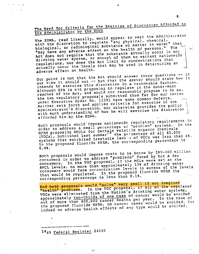# The Need for Criteria for the Exercise of Discretion Afforded to the Administrator by the SDWA

The SDWA, read literally, would appear to vest the Administrator with the discretion to regulate "any physical, chemical, with the discrete in matter in water when "may have any adverse effect on the health of persons." The Act does not require that the substance actually occur in any drinking water system, or enough of them to warrant nationwide regulations, nor does the Act limit to concentrations that actually occur the levels that may be used in determining an adverse effect on health.

Our point is not that the Act should answer these questions -- in our view it should not -- but that the agency should state how it intends to exercise this discretion in a reasonable fashion. Although EPA is not proposing to regulate in the outer-most reaches of the Act, and could not reasonably propose to do so, the two regulatory proposals submitted thus far for our review under Executive Order No. 12291 have some common defects. Neither sets forth and applies criteria for exercise of the Administrator's discretion, nor otherwise provides the public with much understanding of how he will exercise the discretion afforded him by the SDWA.

Both proposals would impose nationwide regulatory requirements in order to address a small percentage of "problem" systems. In the NPRM proposing RMCLs for certain volatile organic chemicals<br>(VOCs), published last summer the percentage of all 60,000 (FAT proposed), hed last summer" the percentage of all 60,000 (vous), published treatable leve 5 of VOCs was less than 4%. In the proposed fluoride NPRM, the corresponding percentage is 0.4%.

Both proposals 'would impose costs to be borne by 190-200 million consumers in order to address ~problems" faced by but a few consumers. In the VOC proposal, if the MCLs were set at the RMCL levels, no more than approximately 10% of drinking water. consumers would face concentration levels in excess of the levels that would be regulated. In the proposed fluoride NPRM the corresponding percentage is less than 0.1%.

And both proposals would "solve" very small if not imagined "health" problems. In the VOC proposal, if all of the regulated VOCs were eliminated from the Nation's drinking water systems, approximately two-thirds of one case of cancer would be avoided out of more than 400,000 cancer deaths per year. In the case of the proposed fluoride NPRM, no cancer cases would be avoided, for indeed no adverse health effects of any type would be avoided.

1449 Federal Register 24330

£7.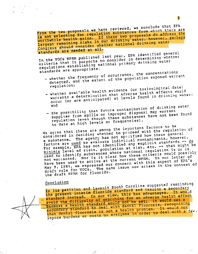From the two proposals we have reviewed, we conclude that EPA From the two for regulation substances  $\frac{1}{2}$  and address the is not selecting healths. If these two proposals however, perhaps worthwhile health gains. If these two proposals do address the<br>largest remaining risks in our drinking water, however, perhaps Congress should consider whether national drinking water standards are needed at all.

In the Voca week published last year, EPA identified whether In the  $VU = V \cdot V$  purports to consider in determine where In the vols news published last full, in additional primary whether<br>regulations establishing national primary drinking water standards are appropriate.

- \_ whether the frequency of occurrence, the concentrations detected, and the extent of the population exposed warrant regulation;
- whether available health evidence (or toxicological data) warrants a determination that adverse health effects would occur (or are anticipated) at levels found in drinking water; and
- the possibility that future contamination of the waterant supplies from spills or improper disposal may warrant regulation (even though these substances have not been found to date at high levels or frequencies).

We agree that these are among the important factors to be<br>considered in deciding whether to proceed with the regulation<br>a substance. The agency has not specified how these general We agree that these are shown to proceed with the regulation considered in who agency has not  $\mathsf{SPCALIEG}$  how the senior  $\mathsf{S}$ . howev factors are used to evaluate individual contaminants, however.<br>For example, EPA has not identified any explicit standards -- de factors are  $\frac{128.6}{1000}$  has not identified any explicit statement hat might be For example,  $\frac{m}{n}$  is risks, population at  $\frac{m}{n}$  . Etc.  $\frac{m}{n}$  is or is  $min_{1}$  is  $sum_{i}$  cubstances where national regularia could possiused to identify war is it clear how these current pour letter of have been used to arrive at the current NPRM. It is a spect of EPA's have been used to arrive at the current NPRM. In our letter of<br>May 9, 1984, we expressed our concern with this aspect of EPA's draft rule for VOCs. The same issue now arises in the context of the draft NPRM for fluoride.

## Conclusion

In its petition and lawsuit South Carolina suggested rescinding In its pectric interim fluoride standard and issuinges. It wou the present interim fluoride standard and issuing a secondary<br>standard instead. In our view, this has advantages. It would<br>avoid the difficulty of searching for an adverse health effect<br>because a health standard would not standard instead. In our viching for an adverse hearth effect<br>avoid the difficulty of searching for an adverse health set-a .,"-s-e'-c'--o;.....n=..:::..d-a-r--y .... -st-a-naardto.a"eaf·wrth"aen-t-a:T'··fY;:;-; <sup>r</sup>0<sup>s</sup> is, recog <sup>n</sup> izi<sup>n</sup><sup>9</sup> secondary sympactic is not a health problem.  $A_{\text{max}}$  with a that dental fluorosis is not a health problem. It would not<br>impose burdens or costs on everyone in order to deal with a few,

9